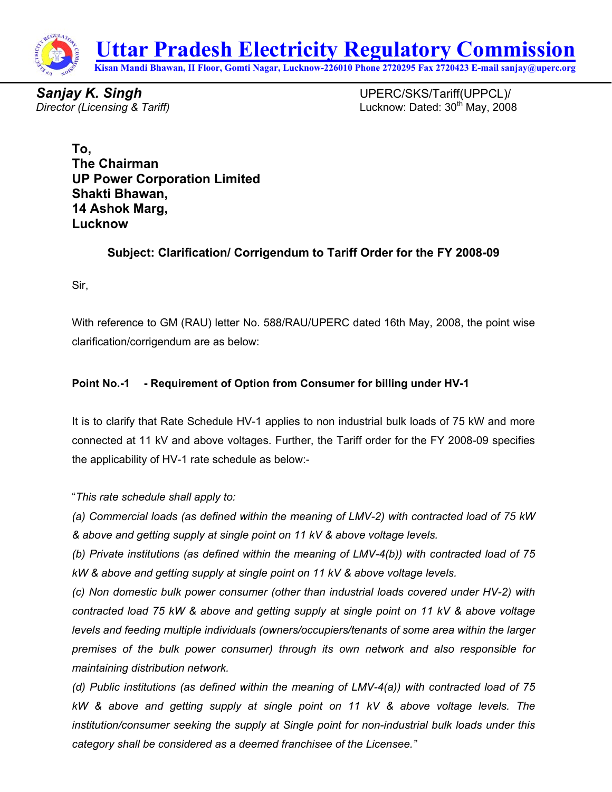

**Sanjay K. Singh**  UPERC/SKS/Tariff(UPPCL)/ *Director (Licensing & Tariff)* Lucknow: Dated: 30th May, 2008

**To, The Chairman UP Power Corporation Limited Shakti Bhawan, 14 Ashok Marg, Lucknow** 

## **Subject: Clarification/ Corrigendum to Tariff Order for the FY 2008-09**

Sir,

With reference to GM (RAU) letter No. 588/RAU/UPERC dated 16th May, 2008, the point wise clarification/corrigendum are as below:

### **Point No.-1 - Requirement of Option from Consumer for billing under HV-1**

It is to clarify that Rate Schedule HV-1 applies to non industrial bulk loads of 75 kW and more connected at 11 kV and above voltages. Further, the Tariff order for the FY 2008-09 specifies the applicability of HV-1 rate schedule as below:-

"*This rate schedule shall apply to:* 

*(a) Commercial loads (as defined within the meaning of LMV-2) with contracted load of 75 kW & above and getting supply at single point on 11 kV & above voltage levels.* 

*(b) Private institutions (as defined within the meaning of LMV-4(b)) with contracted load of 75 kW & above and getting supply at single point on 11 kV & above voltage levels.* 

*(c) Non domestic bulk power consumer (other than industrial loads covered under HV-2) with contracted load 75 kW & above and getting supply at single point on 11 kV & above voltage levels and feeding multiple individuals (owners/occupiers/tenants of some area within the larger premises of the bulk power consumer) through its own network and also responsible for maintaining distribution network.* 

*(d) Public institutions (as defined within the meaning of LMV-4(a)) with contracted load of 75 kW & above and getting supply at single point on 11 kV & above voltage levels. The institution/consumer seeking the supply at Single point for non-industrial bulk loads under this category shall be considered as a deemed franchisee of the Licensee."*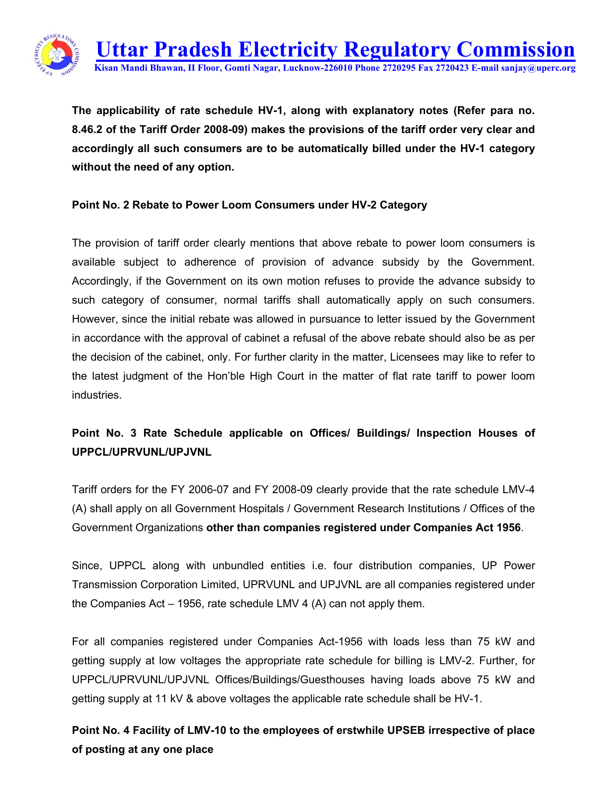

**The applicability of rate schedule HV-1, along with explanatory notes (Refer para no. 8.46.2 of the Tariff Order 2008-09) makes the provisions of the tariff order very clear and accordingly all such consumers are to be automatically billed under the HV-1 category without the need of any option.** 

#### **Point No. 2 Rebate to Power Loom Consumers under HV-2 Category**

The provision of tariff order clearly mentions that above rebate to power loom consumers is available subject to adherence of provision of advance subsidy by the Government. Accordingly, if the Government on its own motion refuses to provide the advance subsidy to such category of consumer, normal tariffs shall automatically apply on such consumers. However, since the initial rebate was allowed in pursuance to letter issued by the Government in accordance with the approval of cabinet a refusal of the above rebate should also be as per the decision of the cabinet, only. For further clarity in the matter, Licensees may like to refer to the latest judgment of the Hon'ble High Court in the matter of flat rate tariff to power loom industries.

# **Point No. 3 Rate Schedule applicable on Offices/ Buildings/ Inspection Houses of UPPCL/UPRVUNL/UPJVNL**

Tariff orders for the FY 2006-07 and FY 2008-09 clearly provide that the rate schedule LMV-4 (A) shall apply on all Government Hospitals / Government Research Institutions / Offices of the Government Organizations **other than companies registered under Companies Act 1956**.

Since, UPPCL along with unbundled entities i.e. four distribution companies, UP Power Transmission Corporation Limited, UPRVUNL and UPJVNL are all companies registered under the Companies Act – 1956, rate schedule LMV 4 (A) can not apply them.

For all companies registered under Companies Act-1956 with loads less than 75 kW and getting supply at low voltages the appropriate rate schedule for billing is LMV-2. Further, for UPPCL/UPRVUNL/UPJVNL Offices/Buildings/Guesthouses having loads above 75 kW and getting supply at 11 kV & above voltages the applicable rate schedule shall be HV-1.

**Point No. 4 Facility of LMV-10 to the employees of erstwhile UPSEB irrespective of place of posting at any one place**